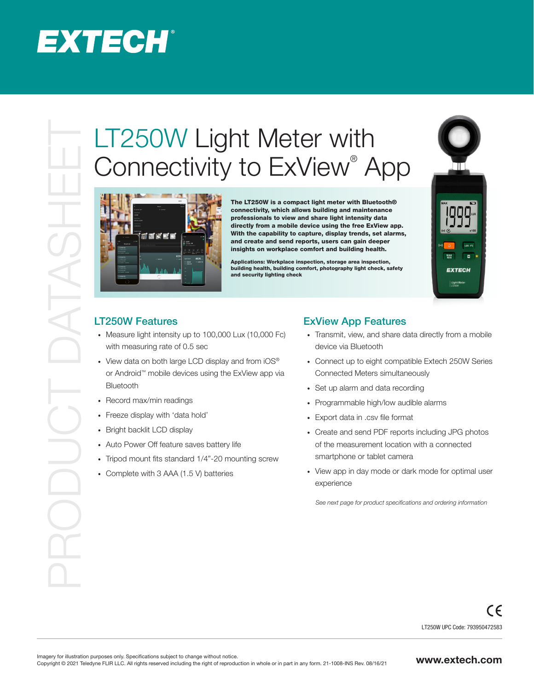## **EXTECH®**

# Connectivity to ExView<sup>®</sup> App



The LT250W is a compact light meter with Bluetooth® connectivity, which allows building and maintenance professionals to view and share light intensity data directly from a mobile device using the free ExView app. With the capability to capture, display trends, set alarms, and create and send reports, users can gain deeper insights on workplace comfort and building health.

Applications: Workplace inspection, storage area inspection, building health, building comfort, photography light check, safety and security lighting check



#### LT250W Features

- · Measure light intensity up to 100,000 Lux (10,000 Fc) with measuring rate of 0.5 sec
- View data on both large LCD display and from iOS<sup>®</sup> or Android™ mobile devices using the ExView app via Bluetooth
- · Record max/min readings
- · Freeze display with 'data hold'
- · Bright backlit LCD display
- · Auto Power Off feature saves battery life
- · Tripod mount fits standard 1/4"-20 mounting screw
- · Complete with 3 AAA (1.5 V) batteries

#### ExView App Features

- · Transmit, view, and share data directly from a mobile device via Bluetooth
- · Connect up to eight compatible Extech 250W Series Connected Meters simultaneously
- · Set up alarm and data recording
- · Programmable high/low audible alarms
- · Export data in .csv file format
- · Create and send PDF reports including JPG photos of the measurement location with a connected smartphone or tablet camera
- · View app in day mode or dark mode for optimal user experience

 *See next page for product specifications and ordering information*